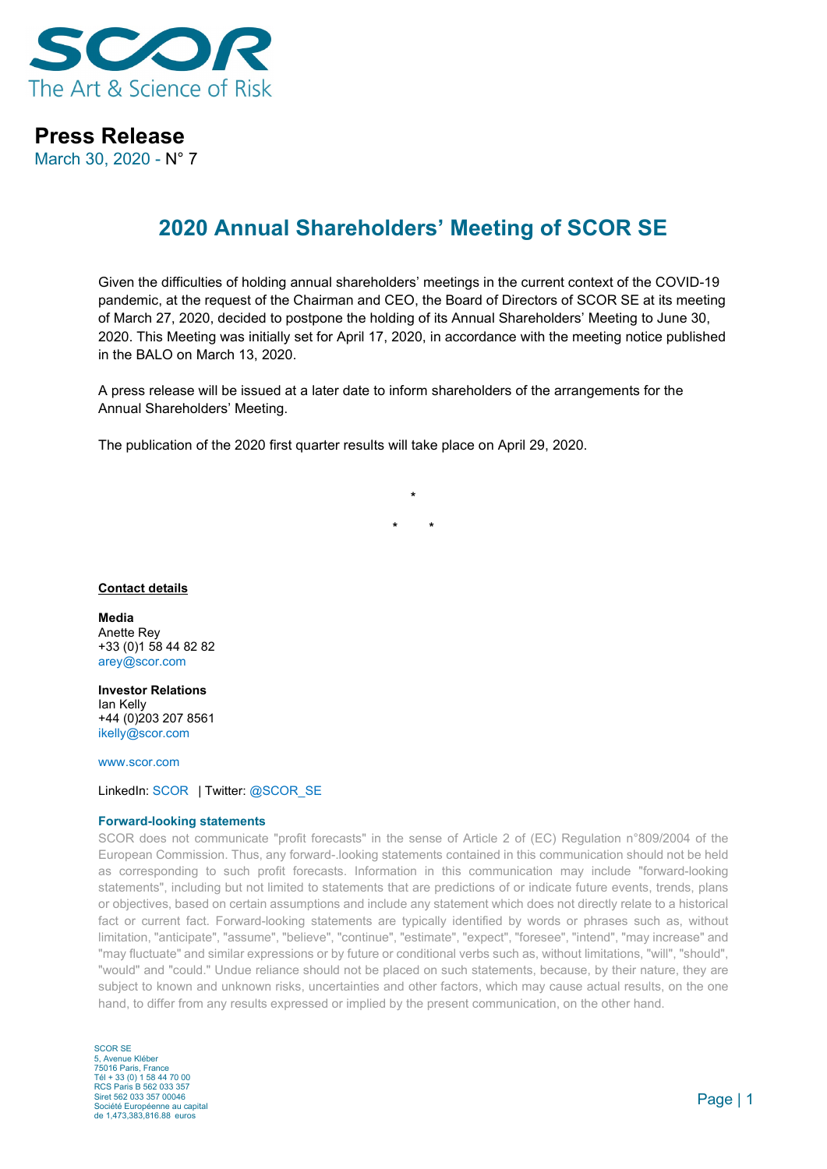

## **Press Release**

March 30, 2020 - N° 7

# **2020 Annual Shareholders' Meeting of SCOR SE**

Given the difficulties of holding annual shareholders' meetings in the current context of the COVID-19 pandemic, at the request of the Chairman and CEO, the Board of Directors of SCOR SE at its meeting of March 27, 2020, decided to postpone the holding of its Annual Shareholders' Meeting to June 30, 2020. This Meeting was initially set for April 17, 2020, in accordance with the meeting notice published in the BALO on March 13, 2020.

A press release will be issued at a later date to inform shareholders of the arrangements for the Annual Shareholders' Meeting.

The publication of the 2020 first quarter results will take place on April 29, 2020.

**\* \* \***

#### **Contact details**

**Media** Anette Rey +33 (0)1 58 44 82 82 [arey@scor.com](mailto:arey@scor.com)

**Investor Relations** Ian Kelly +44 (0)203 207 8561 [ikelly@scor.com](mailto:ikelly@scor.com)

[www.scor.com](http://www.scor.com/en/)

LinkedIn: [SCOR](https://www.linkedin.com/company/11543) | Twitter[: @SCOR\\_SE](https://twitter.com/SCOR_SE)

#### **Forward-looking statements**

SCOR does not communicate "profit forecasts" in the sense of Article 2 of (EC) Regulation n°809/2004 of the European Commission. Thus, any forward-.looking statements contained in this communication should not be held as corresponding to such profit forecasts. Information in this communication may include "forward-looking statements", including but not limited to statements that are predictions of or indicate future events, trends, plans or objectives, based on certain assumptions and include any statement which does not directly relate to a historical fact or current fact. Forward-looking statements are typically identified by words or phrases such as, without limitation, "anticipate", "assume", "believe", "continue", "estimate", "expect", "foresee", "intend", "may increase" and "may fluctuate" and similar expressions or by future or conditional verbs such as, without limitations, "will", "should", "would" and "could." Undue reliance should not be placed on such statements, because, by their nature, they are subject to known and unknown risks, uncertainties and other factors, which may cause actual results, on the one hand, to differ from any results expressed or implied by the present communication, on the other hand.

SCOR SE 5, Avenue Kléber 75016 Paris, France Tél + 33 (0) 1 58 44 70 00 RCS Paris B 562 033 357 Siret 562 033 357 00046 Société Européenne au capital de 1,473,383,816.88 euros